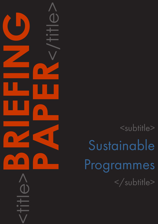<subtitle> Sustainable Programmes </subtitle>

<title>**BRIEFING**

**PAPER**<br>CONSTRAINS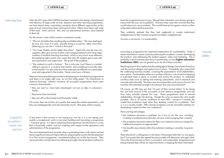## CAPDM Ltd. CAPDM Ltd.

Introduction Over the 20+ years that CAPDM has been involved in the design, development and delivery of large scale on-line, distance and other learning programmes, we have heard many contrasting comments about different approaches to this type of work. Some have been valid and of value. Others have been well wide of the mark - even comical. We, and our educational partners, have listened to them all.

For the record, some of the common comments include:

- •"We can do better than anything else available today". This may (perhaps) be true, but, even if it were, actually doing it counts for rather more than believing you can do it. A bird in the hand …
- •"Our Case Studies are far better than theirs". Again this may be true, but suppliers often give access to their wide ranging materials and have large numbers of students learning from them, which is very much more effective than keeping tight control over cases that only 20 students get to see with your permission and supervision. The proof of the pudding …
- •"My material is worth a fortune". This is only ever true if there is a market willing to pay for it, a route to that market, and something to actually take to that market. It is also only true if the materials are offered in a sustainable way and supported in the market. Never count your chickens …

There are many possible approaches to developing on-line distance programmes and there is no single right way, as our first white paper "*An introduction to distance learning*" outlined. However all successful programmes share some common characteristics:

- they are real (i.e. have been developed -not just an idea in someone's head);
- they have been launched;
- they are still on the market and financially viable.

Launching a programme has important implications for sustainability. Firstly, it means that there is a team in place producing the academic content, developing the product, and addressing the student support, sales and marketing. This is probably a set of activities best done in partnership, as most higher education institutions (HEIs) are not geared up to do all of these activities.

Of course, they are all also of a quality that meets the market expectation, and they are pedagogically and educationally sound. That goes without saying.

A key point is that success is not saying you can do it, it is not saying your quality is exceptional, and it is not even building and launching a programme – however good. It is about sustaining that programme into the future in a way that is financially viable, and not crippling with respect to the operations and administration of the programme.

This was hammered home recently when a potential partner, with whom we had done a significant amount of groundwork, preparing the way for the development of a first on-line programme, considered pulling out at the last minute. They were naturally worried about not attracting enough interest (student numbers) to

- the institution becomes a publisher (so it has to act like one, including investing in professional production services and managing their content);
- the academics become authors for their own institution (and must assign the intellectual property as appropriate);
- the benefits stay entirely within the institution creating a valuable, long term asset.

Sustainability

Launch is an achievement, not **SUCCESS**  have the programme pay its way, (though their reputation was always going to ensure that this was not a problem). However they were also worried that they would attract too many students. This would have put too great a strain on their antiquated administrative practices.

They suddenly realised that they had neglected to couple institutional enlightenment to their recently acquired academic enlightenment.

Success is not launch: it is sustainability.

Reaching launch also implies that the pedagogical designs have been firmed up and the product designs and options put in place. It hopefully also means that the underlying business models, covering the expectations of all stakeholders, are in place. Sustainability relies on a number of factors, one of which is keeping a motivated team in place to re-fresh and evolve the product, to undertake ancillary tasks such as setting and marking assessments, and to research and innovate educationally. This team may have done their work prior to launch, but are they still motivated enough to be doing it five years downstream?

Of course, an HEI may say that "it's part of their normal duties" to be doing this, but look around at the successful on-line distance programmes and ask how many actually operate this way. These programmes tend to reward stakeholders, through risk sharing - though this is by no means the only model possible. This is, of course, anathema to most HEIs – except it is exactly the model that academics meet when they develop content for a publisher. That is, it is a royalty model. Why should academics not be rewarded similarly for developing content for their own institution?

There are big advantages:

There should be a willingness to risk share: if the project fails then no one gains, but if it succeeds then the agreed business model will determine who gets what. Once the financial returns from a successful, and sustainable, programme start being realised they will be an important factor in keeping the team motivated.